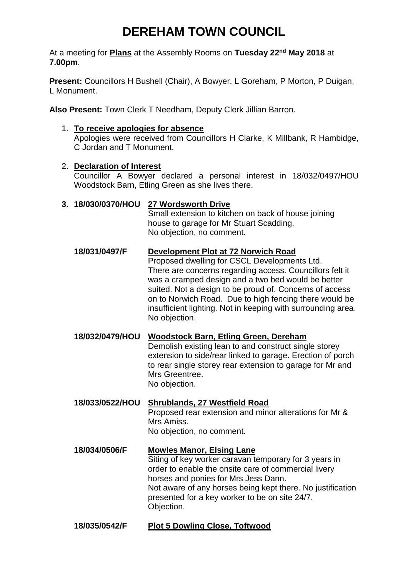# **DEREHAM TOWN COUNCIL**

At a meeting for **Plans** at the Assembly Rooms on **Tuesday 22nd May 2018** at **7.00pm**.

**Present:** Councillors H Bushell (Chair), A Bowyer, L Goreham, P Morton, P Duigan, L Monument.

**Also Present:** Town Clerk T Needham, Deputy Clerk Jillian Barron.

# 1. **To receive apologies for absence**

Apologies were received from Councillors H Clarke, K Millbank, R Hambidge, C Jordan and T Monument.

# 2. **Declaration of Interest**

Councillor A Bowyer declared a personal interest in 18/032/0497/HOU Woodstock Barn, Etling Green as she lives there.

# **3. 18/030/0370/HOU 27 Wordsworth Drive**

Small extension to kitchen on back of house joining house to garage for Mr Stuart Scadding. No objection, no comment.

- **18/031/0497/F Development Plot at 72 Norwich Road** Proposed dwelling for CSCL Developments Ltd. There are concerns regarding access. Councillors felt it was a cramped design and a two bed would be better suited. Not a design to be proud of. Concerns of access on to Norwich Road. Due to high fencing there would be insufficient lighting. Not in keeping with surrounding area. No objection.
- **18/032/0479/HOU Woodstock Barn, Etling Green, Dereham** Demolish existing lean to and construct single storey extension to side/rear linked to garage. Erection of porch to rear single storey rear extension to garage for Mr and Mrs Greentree. No objection.
- **18/033/0522/HOU Shrublands, 27 Westfield Road** Proposed rear extension and minor alterations for Mr & Mrs Amiss. No objection, no comment. **18/034/0506/F Mowles Manor, Elsing Lane**

Siting of key worker caravan temporary for 3 years in order to enable the onsite care of commercial livery horses and ponies for Mrs Jess Dann. Not aware of any horses being kept there. No justification presented for a key worker to be on site 24/7. Objection.

# **18/035/0542/F Plot 5 Dowling Close, Toftwood**